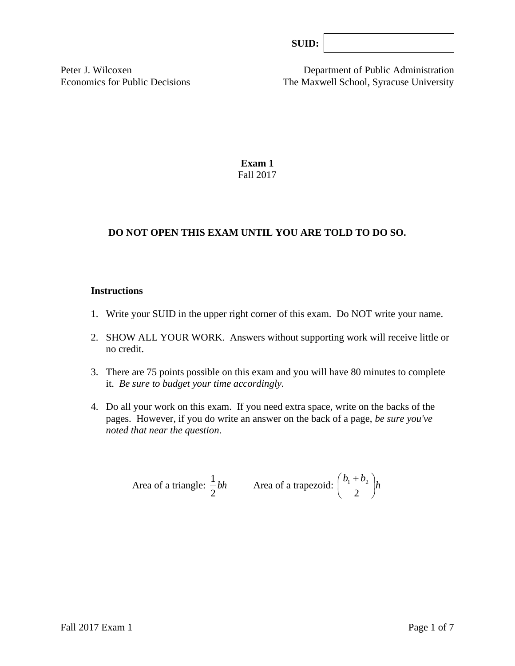|--|

Peter J. Wilcoxen Department of Public Administration Economics for Public Decisions The Maxwell School, Syracuse University

> **Exam 1** Fall 2017

# **DO NOT OPEN THIS EXAM UNTIL YOU ARE TOLD TO DO SO.**

#### **Instructions**

- 1. Write your SUID in the upper right corner of this exam. Do NOT write your name.
- 2. SHOW ALL YOUR WORK. Answers without supporting work will receive little or no credit.
- 3. There are 75 points possible on this exam and you will have 80 minutes to complete it. *Be sure to budget your time accordingly.*
- 4. Do all your work on this exam. If you need extra space, write on the backs of the pages. However, if you do write an answer on the back of a page, *be sure you've noted that near the question*.

Area of a triangle: 
$$
\frac{1}{2}bh
$$
 Area of a trapezoid:  $\left(\frac{b_1 + b_2}{2}\right)h$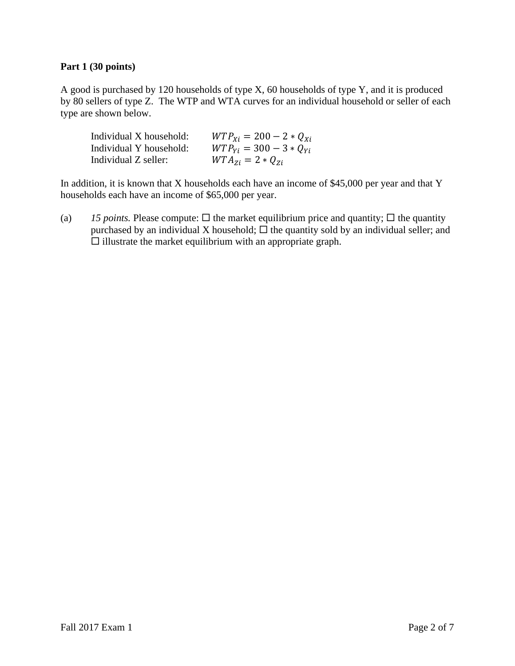### **Part 1 (30 points)**

A good is purchased by 120 households of type X, 60 households of type Y, and it is produced by 80 sellers of type Z. The WTP and WTA curves for an individual household or seller of each type are shown below.

| Individual X household: | $WTP_{xi} = 200 - 2 * Q_{xi}$ |
|-------------------------|-------------------------------|
| Individual Y household: | $WTP_{Yi} = 300 - 3 * Q_{Yi}$ |
| Individual Z seller:    | $WTA_{zi} = 2 * Q_{zi}$       |

In addition, it is known that  $X$  households each have an income of \$45,000 per year and that  $Y$ households each have an income of \$65,000 per year.

(a) 15 *points*. Please compute:  $\Box$  the market equilibrium price and quantity;  $\Box$  the quantity purchased by an individual X household;  $\Box$  the quantity sold by an individual seller; and  $\square$  illustrate the market equilibrium with an appropriate graph.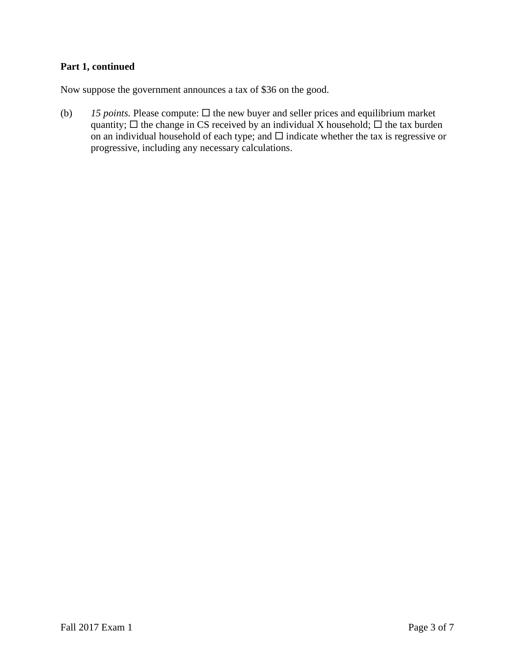## **Part 1, continued**

Now suppose the government announces a tax of \$36 on the good.

(b)  $15$  *points.* Please compute:  $\Box$  the new buyer and seller prices and equilibrium market quantity;  $\Box$  the change in CS received by an individual X household;  $\Box$  the tax burden on an individual household of each type; and  $\Box$  indicate whether the tax is regressive or progressive, including any necessary calculations.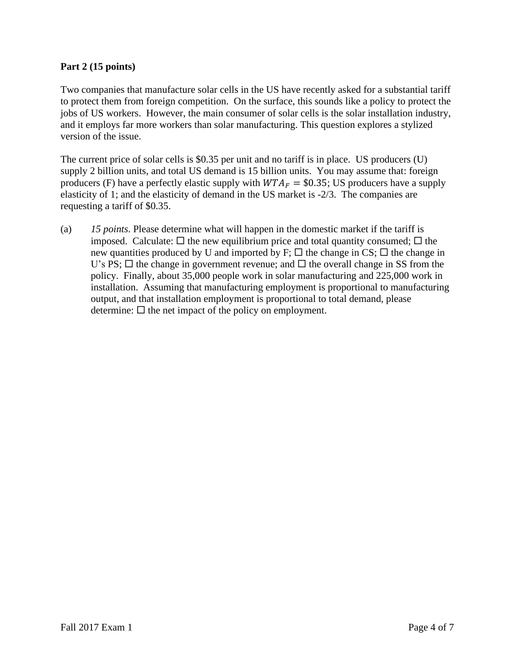### **Part 2 (15 points)**

Two companies that manufacture solar cells in the US have recently asked for a substantial tariff to protect them from foreign competition. On the surface, this sounds like a policy to protect the jobs of US workers. However, the main consumer of solar cells is the solar installation industry, and it employs far more workers than solar manufacturing. This question explores a stylized version of the issue.

The current price of solar cells is \$0.35 per unit and no tariff is in place. US producers (U) supply 2 billion units, and total US demand is 15 billion units. You may assume that: foreign producers (F) have a perfectly elastic supply with  $WTA_F = $0.35$ ; US producers have a supply elasticity of 1; and the elasticity of demand in the US market is -2/3. The companies are requesting a tariff of \$0.35.

(a) *15 points*. Please determine what will happen in the domestic market if the tariff is imposed. Calculate:  $\Box$  the new equilibrium price and total quantity consumed;  $\Box$  the new quantities produced by U and imported by  $F$ ;  $\Box$  the change in CS;  $\Box$  the change in U's PS;  $\Box$  the change in government revenue; and  $\Box$  the overall change in SS from the policy. Finally, about 35,000 people work in solar manufacturing and 225,000 work in installation. Assuming that manufacturing employment is proportional to manufacturing output, and that installation employment is proportional to total demand, please determine:  $\Box$  the net impact of the policy on employment.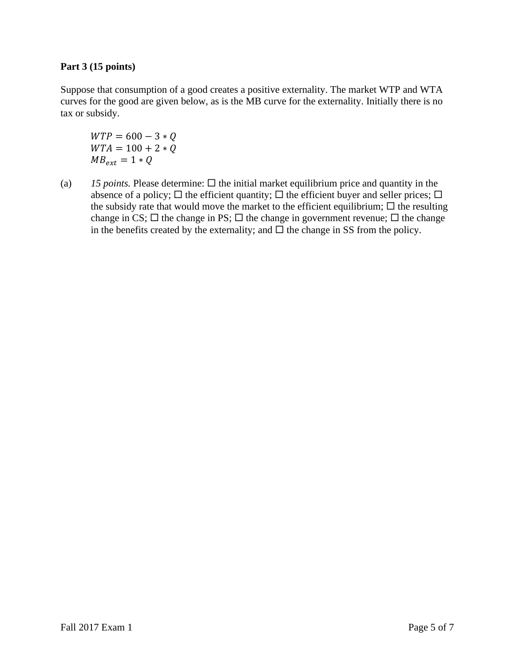## **Part 3 (15 points)**

Suppose that consumption of a good creates a positive externality. The market WTP and WTA curves for the good are given below, as is the MB curve for the externality. Initially there is no tax or subsidy.

 $WTP = 600 - 3 * Q$  $WTA = 100 + 2 * Q$  $MB_{ext} = 1 * Q$ 

(a)  $15$  *points.* Please determine:  $\Box$  the initial market equilibrium price and quantity in the absence of a policy;  $\Box$  the efficient quantity;  $\Box$  the efficient buyer and seller prices;  $\Box$ the subsidy rate that would move the market to the efficient equilibrium;  $\Box$  the resulting change in CS;  $\Box$  the change in PS;  $\Box$  the change in government revenue;  $\Box$  the change in the benefits created by the externality; and  $\Box$  the change in SS from the policy.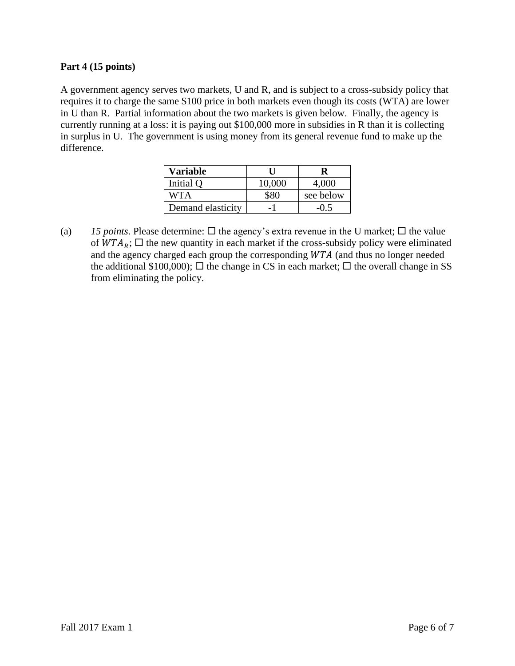### **Part 4 (15 points)**

A government agency serves two markets, U and R, and is subject to a cross-subsidy policy that requires it to charge the same \$100 price in both markets even though its costs (WTA) are lower in U than R. Partial information about the two markets is given below. Finally, the agency is currently running at a loss: it is paying out \$100,000 more in subsidies in R than it is collecting in surplus in U. The government is using money from its general revenue fund to make up the difference.

| Variable          |        |           |
|-------------------|--------|-----------|
| Initial Q         | 10,000 | 4,000     |
| WTA               |        | see below |
| Demand elasticity |        | $-0.5$    |

(a) 15 *points*. Please determine:  $\Box$  the agency's extra revenue in the U market;  $\Box$  the value of  $WTA<sub>R</sub>$ ;  $\Box$  the new quantity in each market if the cross-subsidy policy were eliminated and the agency charged each group the corresponding  $WTA$  (and thus no longer needed the additional \$100,000);  $\Box$  the change in CS in each market;  $\Box$  the overall change in SS from eliminating the policy.